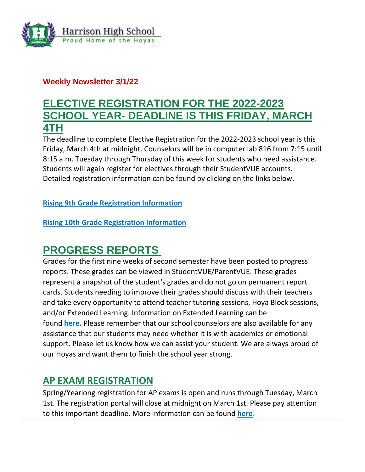

## **Weekly Newsletter 3/1/22**

# **ELECTIVE REGISTRATION FOR THE 2022-2023 SCHOOL YEAR- DEADLINE IS THIS FRIDAY, MARCH 4TH**

The deadline to complete Elective Registration for the 2022-2023 school year is this Friday, March 4th at midnight. Counselors will be in computer lab 816 from 7:15 until 8:15 a.m. Tuesday through Thursday of this week for students who need assistance. Students will again register for electives through their StudentVUE accounts. Detailed registration information can be found by clicking on the links below.

**[Rising 9th Grade Registration Information](http://url503.cobbk12.org/ls/click?upn=G8An3K6JlHsR8QtKBFuzdogXPJqD3Uz2QqY8s2OfxygIJ0Q5sG00ehaPVu7NH26sZFj5jL03Vpb9f415qQXSZ5IaMApRnn-2FZvHQrv9mRYn6cIVSD2p-2B9B1YnIj2RXvsIIltSbI8AtJFjSq1nhiMNNVhorPTQAYL0wD0ESsNPTAr1wxuCnz6is-2F76AADUItD4Wx9G_W-2BfLYUoUwwI1tuGClKRhhPOSepcZIFoXnUIMjiA717kQ1i13BNQTwwJ9cl-2BWArXr6-2FDxoCbNFrRaplJKtN7fZ1o8H42aJHuVG8pdCQnrDMcBsil8tA3F-2FuJsnZ42ksYbkch0XTodVAS5Mb3d4o6Uwiatr1CWurgJQGiDaMJeTx4KRH-2B-2FVKZhiWx95sTyZj-2FcnX3yLGaYyut4jZsAJoXpDXA2LwxLZh7c-2FUK5a96n7ugg8-2BfN9d-2FpowPvAreB9iORfmwdVB0oi097YpmC5E1o6g-3D-3D)**

**[Rising 10th Grade Registration Information](http://url503.cobbk12.org/ls/click?upn=G8An3K6JlHsR8QtKBFuzdogXPJqD3Uz2QqY8s2OfxygIJ0Q5sG00ehaPVu7NH26sZFj5jL03Vpb9f415qQXSZ5IaMApRnn-2FZvHQrv9mRYn6N4AYHDgxyyGerVecwGBlEfwGfxbgDY413dhuIVPpm1xpqxDtsbRczr-2F7D6O1Z3DtAHJrL28vRYQAX1kVjKZNXk0p8_W-2BfLYUoUwwI1tuGClKRhhPOSepcZIFoXnUIMjiA717kQ1i13BNQTwwJ9cl-2BWArXr6-2FDxoCbNFrRaplJKtN7fZ1o8H42aJHuVG8pdCQnrDMcBsil8tA3F-2FuJsnZ42ksYbQzlJh1nbVEuVwMoCLTZqHjKA58UZy6MvpLZ7-2FBgcAoeatPdhTbg-2BVSYr2UpVn9BDMIN6To-2BvoPht2E9uXFJVzYp2wEH4APp1vp-2ByhMzV5ca8wpqEafLQZBFlWYYaCuFdUGrtVWu9k-2BokI-2FQp9N7SPg-3D-3D)**

# **PROGRESS REPORTS**

Grades for the first nine weeks of second semester have been posted to progress reports. These grades can be viewed in StudentVUE/ParentVUE. These grades represent a snapshot of the student's grades and do not go on permanent report cards. Students needing to improve their grades should discuss with their teachers and take every opportunity to attend teacher tutoring sessions, Hoya Block sessions, and/or Extended Learning. Information on Extended Learning can be found **[here.](http://url503.cobbk12.org/ls/click?upn=oq5wnnHoD1NAxpT8rNAGXMR1eG7MJW44UQRvGTy3Tsq4eFBJ-2FubUUiGkGz0-2BYxAem9X-2BmBmknreckNUlL6PovvuGPE5t5ESLhhA9TqXXSP0-3DcDKv_W-2BfLYUoUwwI1tuGClKRhhPOSepcZIFoXnUIMjiA717kQ1i13BNQTwwJ9cl-2BWArXr6-2FDxoCbNFrRaplJKtN7fZ1o8H42aJHuVG8pdCQnrDMcBsil8tA3F-2FuJsnZ42ksYbMKt2YEPBaFaV1IBXBtjQ3oTmj3-2FDgJxLRlc5Fn0ba8E5U2bkQxR9lLb4szFzqPc6n9gph5QgB4jue3-2BGTort-2FV8I1h7gzw1ZOeiR-2BHjFtoydMUNOznPS1edeMzGsN3UIuzg1XhBMs1C2vAj2zJjc9w-3D-3D)** Please remember that our school counselors are also available for any assistance that our students may need whether it is with academics or emotional support. Please let us know how we can assist your student. We are always proud of our Hoyas and want them to finish the school year strong.

## **AP EXAM REGISTRATION**

Spring/Yearlong registration for AP exams is open and runs through Tuesday, March 1st. The registration portal will close at midnight on March 1st. Please pay attention to this important deadline. More information can be found **[here.](http://url503.cobbk12.org/ls/click?upn=oq5wnnHoD1NAxpT8rNAGXMR1eG7MJW44UQRvGTy3TspC5USH35kTcv6Huq2B0mRCpVzlOxvi8AwPc3mhaC6QZyj3SZ3fgofACCQFhvCijAc-3DD0CT_W-2BfLYUoUwwI1tuGClKRhhPOSepcZIFoXnUIMjiA717kQ1i13BNQTwwJ9cl-2BWArXr6-2FDxoCbNFrRaplJKtN7fZ1o8H42aJHuVG8pdCQnrDMcBsil8tA3F-2FuJsnZ42ksYbKAmlEI9IEb9JGtZKKw0mK-2FTkkQpUZ8B-2Bm25w44xhId9J8-2BgJ9dZ8f0a8EBPw2uaWi7tSZaBAV72TqtxWXMuqO0hrdlInTTQVoJBE5GvYV7T0iuc0etTABiynMLdFEyg3jEHKuHplcvMQ23fmCD4CSA-3D-3D)**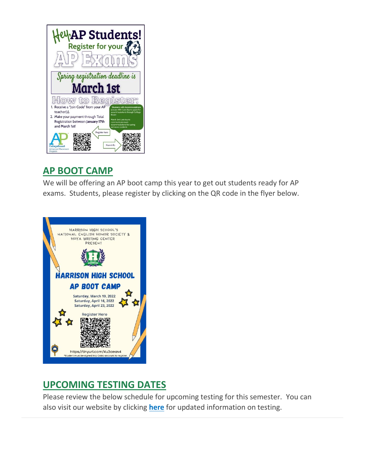

# **AP BOOT CAMP**

We will be offering an AP boot camp this year to get out students ready for AP exams. Students, please register by clicking on the QR code in the flyer below.



# **UPCOMING TESTING DATES**

Please review the below schedule for upcoming testing for this semester. You can also visit our website by clicking **[here](http://url503.cobbk12.org/ls/click?upn=lifxRKNE4qaF4JWLXkbAsjh7ycX9GyI4V6qRbFFivNpp-2B3syQ-2BF1CRoHOrZqfnEtQcfUXEzQ4WYketaNTGV348SK885HARn4hFsQPUpzXyljIvqhTOrFZNMTWBYGN8YGTbsVq49WmIKH0Y0l0i5WIA-3D-3DdObk_W-2BfLYUoUwwI1tuGClKRhhPOSepcZIFoXnUIMjiA717kQ1i13BNQTwwJ9cl-2BWArXr6-2FDxoCbNFrRaplJKtN7fZ1o8H42aJHuVG8pdCQnrDMcBsil8tA3F-2FuJsnZ42ksYbFrUSvXarsUGqhpUGVevthTX0TsOnt59lDpJj7Mwsqxfk4bH6FwuMXyCGYAU4wBuYFyFkP6EJ7oxCe3Th6-2F4OaNiHhdua8xnh7zXft76nDMvfeofXZ9UhYrXl2PQF0lhDHWVDhGNKjxe-2F4al-2ByooRxQ-3D-3D)** for updated information on testing.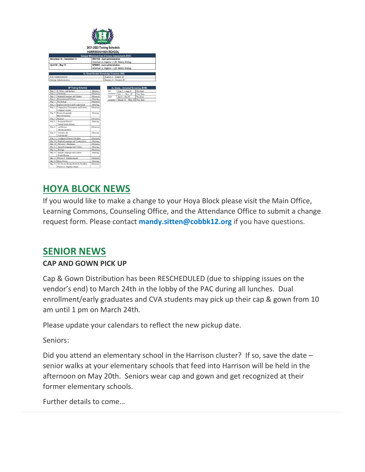

**HARRISON HIGH SCHOOL** tones End of Course Asse ember 30 – December 15 In Lit, Algebra 1, U.S. History, Biology **April 26 - May 17** ican Lit, Algebra 1, U.S. History, Biology

| - эрпик аснанизиатель |                                                                   |           |            | $J0111111Y \supset \cdots$ and that $V \supset \cdots$ |           |  |
|-----------------------|-------------------------------------------------------------------|-----------|------------|--------------------------------------------------------|-----------|--|
|                       | <b>AP Testing Schedule</b>                                        |           |            | 9 <sub>2</sub> , Grade - Universal Screening (RI/MI)   |           |  |
| May 2                 | U.S Gov. and Politics                                             | Montina   | <b>Jut</b> | Aug 2 - Aug 31                                         | Pre-Test  |  |
| May 2                 | Chemisto                                                          | Afternoon | semester   | Nov 1 - Nov. 19                                        | Post-Test |  |
| May 2                 | Spanish Literature and Culture                                    | Afternoon | 2nd        | $\n  Jan 5 - Jan 28\n$                                 | Pre-Test  |  |
| May 3                 | Environmental Science                                             | Montina   | semester   | March 21 - May 20 Post-Test                            |           |  |
| May 3                 | Psychology                                                        | Afternoon |            |                                                        |           |  |
| May 4                 | English Literature and Composition.                               | Monting   |            |                                                        |           |  |
| May 4                 | Comparative Government and Politics<br>Computer Science           | Afternoon |            |                                                        |           |  |
| May 5                 | Human Geography<br>Macrocoonomics                                 | Moning    |            |                                                        |           |  |
| May 5                 | <b>Rutistics</b>                                                  | Afternoon |            |                                                        |           |  |
| May 6                 | European History<br>United States History                         | Moning    |            |                                                        |           |  |
| May 6                 | Art History<br>Microeconomics <sup>3</sup>                        | Afternoon |            |                                                        |           |  |
| May 9                 | Calculus AB<br>Calculus BC                                        | Monting   |            |                                                        |           |  |
| May 9                 | Computer Science Principles                                       | Afternoon |            |                                                        |           |  |
| May 10                | English Language and Composition                                  | Montine   |            |                                                        |           |  |
| May 10                | Physics C: Mechanics                                              | Afternoon |            |                                                        |           |  |
| May 11                | Spanish Language and Culture                                      | Monting   |            |                                                        |           |  |
| May 11                | Biology                                                           | Afternoon |            |                                                        |           |  |
| May 12                | French Language and Culture<br>World History                      | Monting   |            |                                                        |           |  |
| May 12                | Physics 1: Algebra-based                                          | Afternoon |            |                                                        |           |  |
|                       | May 13 Music Theory                                               | Moning    |            |                                                        |           |  |
| May 13                | 2D Art and Design Portfolio Deadline<br>Physics 2: Algebra -based | Afternoon |            |                                                        |           |  |

# **HOYA BLOCK NEWS**

If you would like to make a change to your Hoya Block please visit the Main Office, Learning Commons, Counseling Office, and the Attendance Office to submit a change request form. Please contact **[mandy.sitten@cobbk12.org](mailto:mandy.sitten@cobbk12.org)** if you have questions.

# **SENIOR NEWS**

### **CAP AND GOWN PICK UP**

Cap & Gown Distribution has been RESCHEDULED (due to shipping issues on the vendor's end) to March 24th in the lobby of the PAC during all lunches. Dual enrollment/early graduates and CVA students may pick up their cap & gown from 10 am until 1 pm on March 24th.

Please update your calendars to reflect the new pickup date.

Seniors:

Did you attend an elementary school in the Harrison cluster? If so, save the date – senior walks at your elementary schools that feed into Harrison will be held in the afternoon on May 20th. Seniors wear cap and gown and get recognized at their former elementary schools.

Further details to come…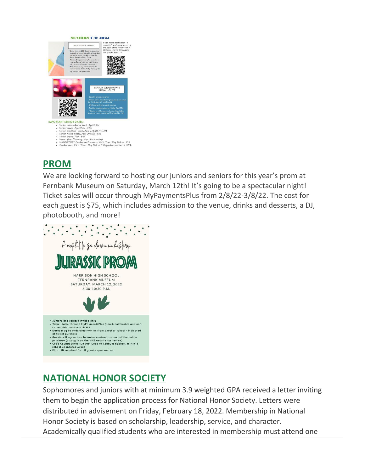

## **PROM**

We are looking forward to hosting our juniors and seniors for this year's prom at Fernbank Museum on Saturday, March 12th! It's going to be a spectacular night! Ticket sales will occur through MyPaymentsPlus from 2/8/22-3/8/22. The cost for each guest is \$75, which includes admission to the venue, drinks and desserts, a DJ, photobooth, and more!



# **NATIONAL HONOR SOCIETY**

Sophomores and juniors with at minimum 3.9 weighted GPA received a letter inviting them to begin the application process for National Honor Society. Letters were distributed in advisement on Friday, February 18, 2022. Membership in National Honor Society is based on scholarship, leadership, service, and character. Academically qualified students who are interested in membership must attend one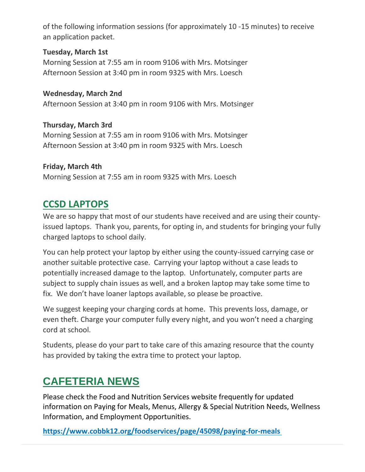of the following information sessions (for approximately 10 -15 minutes) to receive an application packet.

### **Tuesday, March 1st**

Morning Session at 7:55 am in room 9106 with Mrs. Motsinger Afternoon Session at 3:40 pm in room 9325 with Mrs. Loesch

**Wednesday, March 2nd** Afternoon Session at 3:40 pm in room 9106 with Mrs. Motsinger

**Thursday, March 3rd** Morning Session at 7:55 am in room 9106 with Mrs. Motsinger Afternoon Session at 3:40 pm in room 9325 with Mrs. Loesch

### **Friday, March 4th** Morning Session at 7:55 am in room 9325 with Mrs. Loesch

# **CCSD LAPTOPS**

We are so happy that most of our students have received and are using their countyissued laptops. Thank you, parents, for opting in, and students for bringing your fully charged laptops to school daily.

You can help protect your laptop by either using the county-issued carrying case or another suitable protective case. Carrying your laptop without a case leads to potentially increased damage to the laptop. Unfortunately, computer parts are subject to supply chain issues as well, and a broken laptop may take some time to fix. We don't have loaner laptops available, so please be proactive.

We suggest keeping your charging cords at home. This prevents loss, damage, or even theft. Charge your computer fully every night, and you won't need a charging cord at school.

Students, please do your part to take care of this amazing resource that the county has provided by taking the extra time to protect your laptop.

# **CAFETERIA NEWS**

Please check the Food and Nutrition Services website frequently for updated information on Paying for Meals, Menus, Allergy & Special Nutrition Needs, Wellness Information, and Employment Opportunities.

**[https://www.cobbk12.org/foodservices/page/45098/paying-for-meals](http://url503.cobbk12.org/ls/click?upn=oq5wnnHoD1NAxpT8rNAGXIgEcF6cFUXUYIe-2B8AO3LVyx4t4OJsNWVhu0iEI2j90fBOcAAqhr4f3pHktzPZuYg83p0mcu7zlRbWoKDhAG9jg-3Do6u9_W-2BfLYUoUwwI1tuGClKRhhPOSepcZIFoXnUIMjiA717kQ1i13BNQTwwJ9cl-2BWArXr6-2FDxoCbNFrRaplJKtN7fZ1o8H42aJHuVG8pdCQnrDMcBsil8tA3F-2FuJsnZ42ksYblJxpRjDWjrOiyvhDWsxwVjRzgGxBlufjge7OMYdCs2Nnua6mQfRvDmlBQs3afSoUuJk6KurMfxL3cxcZZq5gWI-2FyB4zGX5nkeyhmWtGApvYINyfmzuej-2FuOtGRn8NLFd7GTD72mpOonvZwIRaWCBxw-3D-3D)**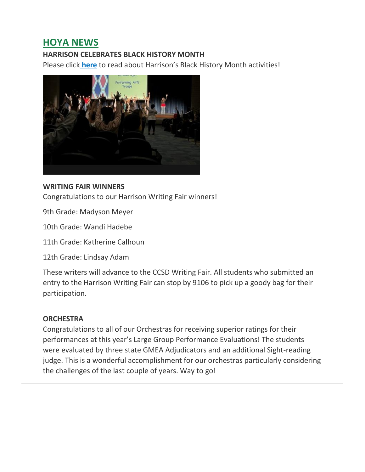# **HOYA NEWS**

### **HARRISON CELEBRATES BLACK HISTORY MONTH**

Please click **[here](http://url503.cobbk12.org/ls/click?upn=oq5wnnHoD1NAxpT8rNAGXCNvR2E3rqz5lLRrOF56wksqhE4rIrHQIG0qbFvuHfYk7aVv_W-2BfLYUoUwwI1tuGClKRhhPOSepcZIFoXnUIMjiA717kQ1i13BNQTwwJ9cl-2BWArXr6-2FDxoCbNFrRaplJKtN7fZ1o8H42aJHuVG8pdCQnrDMcBsil8tA3F-2FuJsnZ42ksYb5cU3g35t7CNghg5OX9e70COMWgUIkOqO8RZiUJQp2WCfm9-2BdbkFNI4dO6FCB6j1F5UcSwaqIQQYOMKV5CQfkDjRhmhRaaInimApcrR9L2I6xv-2FUyvZ9loTX9OcencBYcFIRl6uGlgH9VL57sbSepdQ-3D-3D)** to read about Harrison's Black History Month activities!



#### **WRITING FAIR WINNERS**

Congratulations to our Harrison Writing Fair winners!

9th Grade: Madyson Meyer

10th Grade: Wandi Hadebe

11th Grade: Katherine Calhoun

12th Grade: Lindsay Adam

These writers will advance to the CCSD Writing Fair. All students who submitted an entry to the Harrison Writing Fair can stop by 9106 to pick up a goody bag for their participation.

#### **ORCHESTRA**

Congratulations to all of our Orchestras for receiving superior ratings for their performances at this year's Large Group Performance Evaluations! The students were evaluated by three state GMEA Adjudicators and an additional Sight-reading judge. This is a wonderful accomplishment for our orchestras particularly considering the challenges of the last couple of years. Way to go!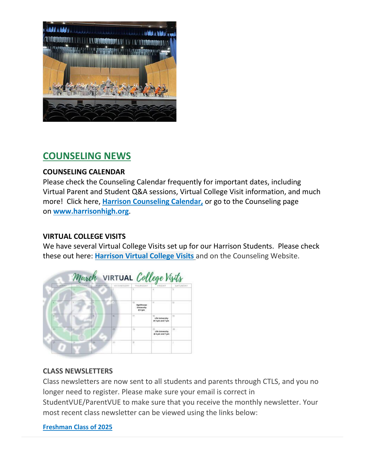

# **COUNSELING NEWS**

### **COUNSELING CALENDAR**

Please check the Counseling Calendar frequently for important dates, including Virtual Parent and Student Q&A sessions, Virtual College Visit information, and much more! Click here, **[Harrison Counseling Calendar,](http://url503.cobbk12.org/ls/click?upn=G8An3K6JlHsR8QtKBFuzdoB1znjZkDc3Km2Sgf1PHVodwV6VgRMiwQQL-2F79BHEQra7DV94YM-2Fu3jRroQrZebB0ICbAiiTSOxf2VOsZ9D5nW8n4m8qqkXdxeSO2hlSA3UyvfMGWbP-2BL0z6gmtleFIjXJmfcH41EVFv2oCj87cm6rZyB8XpGoYTeMfqHO-2FL19zCvBy_W-2BfLYUoUwwI1tuGClKRhhPOSepcZIFoXnUIMjiA717kQ1i13BNQTwwJ9cl-2BWArXr6-2FDxoCbNFrRaplJKtN7fZ1o8H42aJHuVG8pdCQnrDMcBsil8tA3F-2FuJsnZ42ksYb6lmYG2iZ6brySiTOUaQlfFitxX2XPHXOiQXp2WZ0oa4JYu0QjHmf7cww32n4sPZfGcXTF7j256ixDw3oqrokXSTfEE8t1hTNX2dQkMH-2FQiaKrIQQur6ueSzg1dAVjJzz-2B0C83o3AjturK2jTBU8C-2BQ-3D-3D)** or go to the Counseling page on **[www.harrisonhigh.org](http://url503.cobbk12.org/ls/click?upn=oq5wnnHoD1NAxpT8rNAGXO9pgQjsMrFEdSeXOUfDN1SmFc2KsGzpApGt0h4W-2BnTi3qOMFT0pAhpU4g9jzi2oghIA-2BD5qxCmArcny4yPncCY-3D0RwR_W-2BfLYUoUwwI1tuGClKRhhPOSepcZIFoXnUIMjiA717kQ1i13BNQTwwJ9cl-2BWArXr6-2FDxoCbNFrRaplJKtN7fZ1o8H42aJHuVG8pdCQnrDMcBsil8tA3F-2FuJsnZ42ksYbX8HJs5R5nmsYiJ0AoZgwHbeXd2iWUJh90nl3WskWwi9DlcUeki4Vx-2Fq5ZZ3TpOHlsf1ZLVwkn0HTFAs7RaDeMzjyGGt4N6jg6FFLkE4gu78qtSzaXeP-2BRusrLXH8aXZaH-2FzWsJ7QXQFwazv-2FWL37tQ-3D-3D)**.

### **VIRTUAL COLLEGE VISITS**

We have several Virtual College Visits set up for our Harrison Students. Please check these out here: **[Harrison Virtual College Visits](http://url503.cobbk12.org/ls/click?upn=G8An3K6JlHsR8QtKBFuzdogXPJqD3Uz2QqY8s2OfxygfiXPa-2BLVg3oKWlcUFgjTffPxwSarE77p-2FOfJTl3QvbpgPiFEQheAZA772IpRJMifiqQmDkS-2BKBGjOIoKGjM7QQDhTGARgZvMYUugThyMfc1u3H422O6jO2zhAvrxBFglXp3F6gpegHyc5A3y-2BtXoarMbtV-2FDS2nSwRHJx513wzw-3D-3D-wrp_W-2BfLYUoUwwI1tuGClKRhhPOSepcZIFoXnUIMjiA717kQ1i13BNQTwwJ9cl-2BWArXr6-2FDxoCbNFrRaplJKtN7fZ1o8H42aJHuVG8pdCQnrDMcBsil8tA3F-2FuJsnZ42ksYb-2BdfwpILcLldRDA-2FX9AYlDZfhH8BmzfkWv0-2BjTm9gMLSBnSUbst2QVvM4eYwgERPjUbK0RrSaC4geJlQCVkDlRrgkC0qR3NFounTN1T3LmpNoewDXtsuApYDDjWPEEtovGi8MAqLdAozxX1uageSyhg-3D-3D)** and on the Counseling Website.



### **CLASS NEWSLETTERS**

Class newsletters are now sent to all students and parents through CTLS, and you no longer need to register. Please make sure your email is correct in

StudentVUE/ParentVUE to make sure that you receive the monthly newsletter. Your most recent class newsletter can be viewed using the links below:

#### **Freshman [Class of 2025](http://url503.cobbk12.org/ls/click?upn=HU5K2q0Fz5ADTGboxPzOzV-2FXL0qE7BYVJk79MoYchrZ53ajsb0iX9IXF6-2FxrILWBti7st-2FroAwljtjbpONXWG5dPH8d4me6En0REb6-2FdFH9STobrkLwu-2BvS-2BFQxW-2F3XJ1dmX_W-2BfLYUoUwwI1tuGClKRhhPOSepcZIFoXnUIMjiA717kQ1i13BNQTwwJ9cl-2BWArXr6-2FDxoCbNFrRaplJKtN7fZ1o8H42aJHuVG8pdCQnrDMcBsil8tA3F-2FuJsnZ42ksYbz5EuOWj2gyUB1f-2BK9517Pg4ZASJcUYHV7kbeiUk-2FZgurbKjWgNzfNoI1hWqC9FkgocrTnXFfwlTT-2BMRdLbKsMMSFoR5A0cYENNeQsFpWEQ2RgxOjlvmtjkqPNfHTaK9vSKYRQmBYHLyAOOD4xWUiMA-3D-3D)**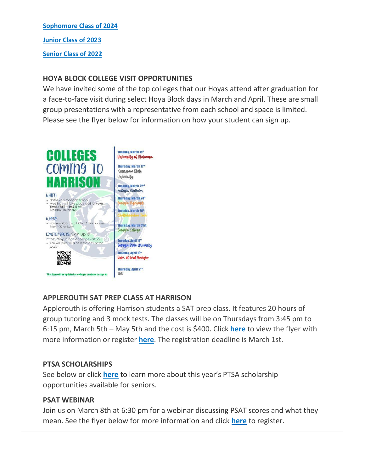#### **Sophomore [Class of 2024](http://url503.cobbk12.org/ls/click?upn=HU5K2q0Fz5ADTGboxPzOzV-2FXL0qE7BYVJk79MoYchrb7GCnaJoKJoPPSn-2BAmTIlHXWAJ3F2sT2upOSxQf1Ihb2GDuOBY8g-2FXu7qfR-2Fqp-2F3KW1nkfNSosf0nsg9BC0rm88eBP_W-2BfLYUoUwwI1tuGClKRhhPOSepcZIFoXnUIMjiA717kQ1i13BNQTwwJ9cl-2BWArXr6-2FDxoCbNFrRaplJKtN7fZ1o8H42aJHuVG8pdCQnrDMcBsil8tA3F-2FuJsnZ42ksYbBruASiKfQp-2B1dMyfZ-2F9oOFoDAGE9bc9q7UelmTlZRCM7lotviYSjoNYKU1tdF3sCMkw3Ly9bOiRRasIy-2FP9tNxiSxWnSE6FjBmaYasqWBzeqNhvQselYm-2BdFp-2BJLBQIcY60RfxDnEjSSgJmN-2BRgrDw-3D-3D)**

**[Junior Class of 2023](http://url503.cobbk12.org/ls/click?upn=HU5K2q0Fz5ADTGboxPzOzV-2FXL0qE7BYVJk79MoYchrbR-2FBxZKrcAByjx2OlGWgpB-2BKS8aHW4sqUIorB96oXr4NyfMrfXAsJWrojBFZVbfrMaQn4-2BWM1Cavfi22ibd7dI53RL_W-2BfLYUoUwwI1tuGClKRhhPOSepcZIFoXnUIMjiA717kQ1i13BNQTwwJ9cl-2BWArXr6-2FDxoCbNFrRaplJKtN7fZ1o8H42aJHuVG8pdCQnrDMcBsil8tA3F-2FuJsnZ42ksYbVK9FfjuGNgjp-2FvgxewYjgsanYgQJuuy38Ga-2FeT-2Ftudz6UBzVjCihRh-2BnKrleDuorbQeatfPeaCOQAT1sqfWH8pykXy1-2B4LzJMNiB-2BaCHcUfoSZOHwxAU5fqeUuE5FVmNdpuE2gp24DcaeOLhT4-2Brjw-3D-3D)**

**[Senior Class of 2022](http://url503.cobbk12.org/ls/click?upn=HU5K2q0Fz5ADTGboxPzOzV-2FXL0qE7BYVJk79MoYchrZznAj5f3GXrgc7toFDpjjTBa1tX-2BzKpChLQbzOvYboPcS1sApZpDsfGCKlJ9lYn58nv915Nw9p835y8oEzCKpnPi7U_W-2BfLYUoUwwI1tuGClKRhhPOSepcZIFoXnUIMjiA717kQ1i13BNQTwwJ9cl-2BWArXr6-2FDxoCbNFrRaplJKtN7fZ1o8H42aJHuVG8pdCQnrDMcBsil8tA3F-2FuJsnZ42ksYb58nxPZxMEJm2YlmhBqMdncIL6035gyDr9RvsYe1PZMG-2FNYHw-2BRmiC7htOyNiNbgO5UBazeKrGpjO5PaHQyYYX9DZe4wIl5UtGzjGm2icpgIGk9QJjIrrA5McVC50zjCl5YjrjoCQQwQf3TEox5EHZQ-3D-3D)**

### **HOYA BLOCK COLLEGE VISIT OPPORTUNITIES**

We have invited some of the top colleges that our Hoyas attend after graduation for a face-to-face visit during select Hoya Block days in March and April. These are small group presentations with a representative from each school and space is limited. Please see the flyer below for information on how your student can sign up.



### **APPLEROUTH SAT PREP CLASS AT HARRISON**

Applerouth is offering Harrison students a SAT prep class. It features 20 hours of group tutoring and 3 mock tests. The classes will be on Thursdays from 3:45 pm to 6:15 pm, March 5th – May 5th and the cost is \$400. Click **[here](http://url503.cobbk12.org/ls/click?upn=HU5K2q0Fz5ADTGboxPzOzV-2FXL0qE7BYVJk79MoYchrY9b-2BNQRspjTEWsf5LWg2rbwmWqWHPh-2FQOPocmCsCWX0Kt5tMIQqoTKxGvabQILy7U-3DeUbz_W-2BfLYUoUwwI1tuGClKRhhPOSepcZIFoXnUIMjiA717kQ1i13BNQTwwJ9cl-2BWArXr6-2FDxoCbNFrRaplJKtN7fZ1o8H42aJHuVG8pdCQnrDMcBsil8tA3F-2FuJsnZ42ksYbTQMC12pxw8yM7N2toGfJGPhMqI-2BCwTtvbZT4ziw1yhm0LQXZkqDUrHBn2398Kr-2FsHNmPLfW1QVdda0x-2F9gKVp1BROwSEM7A8Y1yiObCwL9XPI4pQ7iY4NZdlkb8LY8xn-2FsERiZq7NF8e0HGxiMlTTQ-3D-3D)** to view the flyer with more information or register **[here](http://url503.cobbk12.org/ls/click?upn=oq5wnnHoD1NAxpT8rNAGXLw-2FETaD7B57rXxVPUpGpUDmUD0Hx-2Fif2I-2FeSeRTIrFULTVBLM2WGew0r6oVz2mO9w-3D-3Dd6Nm_W-2BfLYUoUwwI1tuGClKRhhPOSepcZIFoXnUIMjiA717kQ1i13BNQTwwJ9cl-2BWArXr6-2FDxoCbNFrRaplJKtN7fZ1o8H42aJHuVG8pdCQnrDMcBsil8tA3F-2FuJsnZ42ksYbuZGuZS5yHmbuOowA57ZDmaOSgK9OAreSIyDeReEbY0WSvJKDjrneRHiloPR9BBIXdQ8sCJXzQy552Nsenv6cNa4xDYSNbiUSvDHacVcJrf4-2F9vJ5RMIhFxtXP4BsySujs-2FKgYvBxSjfwrEDiBc-2FxxQ-3D-3D)**. The registration deadline is March 1st.

### **PTSA SCHOLARSHIPS**

See below or click **[here](http://url503.cobbk12.org/ls/click?upn=HU5K2q0Fz5ADTGboxPzOzV-2FXL0qE7BYVJk79MoYchrYNeVjNsd15TITjkWV7hwsN4TrlnN-2B4AvVJ9qUaV9IjTcV0wXOV6nJJ2UpxPKbMkLp8nmgm-2F4HKPdHvn2LiE-2FzizIzy_W-2BfLYUoUwwI1tuGClKRhhPOSepcZIFoXnUIMjiA717kQ1i13BNQTwwJ9cl-2BWArXr6-2FDxoCbNFrRaplJKtN7fZ1o8H42aJHuVG8pdCQnrDMcBsil8tA3F-2FuJsnZ42ksYbhODWNVc1agYIPT-2BrJt-2BLAHUI845-2FghapMJOB896bO4dDMPMAz8BGnIIMWzbL82qsYWZy-2FvXr6PlLzQhn1H6FZqNg2r4opCjVL6yd9f9QxN3HXSCsCR-2BemTf3F0OIuuf2Yz4daMhCSqlY6Xa9kgLXgA-3D-3D)** to learn more about this year's PTSA scholarship opportunities available for seniors.

#### **PSAT WEBINAR**

Join us on March 8th at 6:30 pm for a webinar discussing PSAT scores and what they mean. See the flyer below for more information and click **[here](http://url503.cobbk12.org/ls/click?upn=oq5wnnHoD1NAxpT8rNAGXLw-2FETaD7B57rXxVPUpGpUABXqqzHFTFlAkZhhQcHBlgJniuaN4qTrFAWiWWVPm6cw-3D-3DhKHI_W-2BfLYUoUwwI1tuGClKRhhPOSepcZIFoXnUIMjiA717kQ1i13BNQTwwJ9cl-2BWArXr6-2FDxoCbNFrRaplJKtN7fZ1o8H42aJHuVG8pdCQnrDMcBsil8tA3F-2FuJsnZ42ksYbIR8hLyicOyDr6W1zXhMeHLXKRJADefEIh04l4aKkIGvOBUTx9bbwsH1lbjtSs-2BVYvb2v0uiae15POIB3HccGG5b1lOGIdaccdk6BPwi7EF-2FM-2BhclI97mCvb0WaH67CIlQwxt8neSx3a1JD6gG-2Bzu-2Fg-3D-3D)** to register.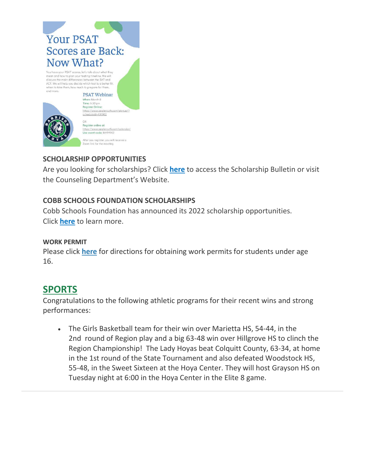

## **SCHOLARSHIP OPPORTUNITIES**

Are you looking for scholarships? Click **[here](http://url503.cobbk12.org/ls/click?upn=lifxRKNE4qaF4JWLXkbAsjh7ycX9GyI4V6qRbFFivNpp-2B3syQ-2BF1CRoHOrZqfnEtQcfUXEzQ4WYketaNTGV3408V8zS1UaS9Mdiay1YDYqUko-2F7m3YIEbQY7FNUfHqgboWCU-2FMo4nH5Qc0ll4-2Ba3ag-3D-3Dc1O8_W-2BfLYUoUwwI1tuGClKRhhPOSepcZIFoXnUIMjiA717kQ1i13BNQTwwJ9cl-2BWArXr6-2FDxoCbNFrRaplJKtN7fZ1o8H42aJHuVG8pdCQnrDMcBsil8tA3F-2FuJsnZ42ksYb6LpErZzqjyoWWLX3uA-2B7jck6Ph54S-2BaxrkILP0X2GJacPRGbyEus7fytHaHvd9AaXiCIziGZlzHfXpCUfJLrqNupjt3uMBwG2m3d0YZB-2BRZORaAKoe6-2F5Ok4lZfiNENE3P6rMkp9PZPfh64f7yc-2FQA-3D-3D)** to access the Scholarship Bulletin or visit the Counseling Department's Website.

### **COBB SCHOOLS FOUNDATION SCHOLARSHIPS**

Cobb Schools Foundation has announced its 2022 scholarship opportunities. Click **[here](http://url503.cobbk12.org/ls/click?upn=HU5K2q0Fz5ADTGboxPzOzV-2FXL0qE7BYVJk79MoYchrZ-2Ff-2FOdLvmkCHlDRa-2FCfR6GepNJjwsIv88e3tF9oGpulEhReEsKb-2B1hUFN2zj3kSymz22WtzalPFI4Qcc1cUyvSzqEI_W-2BfLYUoUwwI1tuGClKRhhPOSepcZIFoXnUIMjiA717kQ1i13BNQTwwJ9cl-2BWArXr6-2FDxoCbNFrRaplJKtN7fZ1o8H42aJHuVG8pdCQnrDMcBsil8tA3F-2FuJsnZ42ksYbI91fny7ZOLWHVLXI-2BVDevOpTxU4WJKg-2FniPMffqoU5t7YdQpnYGRTBpLXEbJCAtDO6YLfXqjMkFu-2BHzL9CvqXoQbpyFlpqeYdD0BVfup6PkTAp0dKdVSpRDSByszEgvSpw6cFWs6BiS5Z-2FzHUyePgg-3D-3D)** to learn more.

#### **WORK PERMIT**

Please click **[here](http://url503.cobbk12.org/ls/click?upn=HU5K2q0Fz5ADTGboxPzOzV-2FXL0qE7BYVJk79MoYchragV5467tisWoPAB9agzSUHDsbqBYccGjiUhV-2FDTHAbpfQ3tb3XltUDiEnSOWDrZrU-3Dt5pl_W-2BfLYUoUwwI1tuGClKRhhPOSepcZIFoXnUIMjiA717kQ1i13BNQTwwJ9cl-2BWArXr6-2FDxoCbNFrRaplJKtN7fZ1o8H42aJHuVG8pdCQnrDMcBsil8tA3F-2FuJsnZ42ksYboNchIx1uL5XqB9hZvCLicZtGqaCLq5IEszs9LRwwZtYz-2BLjuqHx9-2FE36onWLNvvLoCL1jgossbZaV-2FjoW0lXlWeSBW5cgDYuyZx-2BTrlTBLnnZ-2FYVn7k5HhWtX1KpFcWqUu9nmjrZwSIixtGvh5abAA-3D-3D)** for directions for obtaining work permits for students under age 16.

## **SPORTS**

Congratulations to the following athletic programs for their recent wins and strong performances:

• The Girls Basketball team for their win over Marietta HS, 54-44, in the 2nd round of Region play and a big 63-48 win over Hillgrove HS to clinch the Region Championship! The Lady Hoyas beat Colquitt County, 63-34, at home in the 1st round of the State Tournament and also defeated Woodstock HS, 55-48, in the Sweet Sixteen at the Hoya Center. They will host Grayson HS on Tuesday night at 6:00 in the Hoya Center in the Elite 8 game.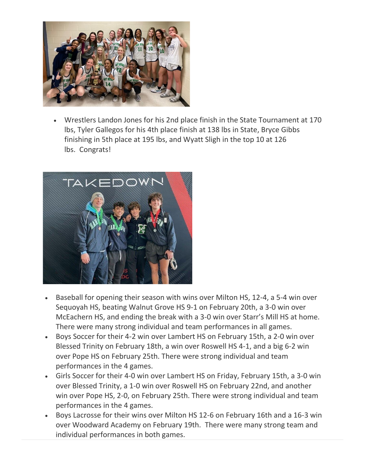

• Wrestlers Landon Jones for his 2nd place finish in the State Tournament at 170 lbs, Tyler Gallegos for his 4th place finish at 138 lbs in State, Bryce Gibbs finishing in 5th place at 195 lbs, and Wyatt Sligh in the top 10 at 126 lbs. Congrats!



- Baseball for opening their season with wins over Milton HS, 12-4, a 5-4 win over Sequoyah HS, beating Walnut Grove HS 9-1 on February 20th, a 3-0 win over McEachern HS, and ending the break with a 3-0 win over Starr's Mill HS at home. There were many strong individual and team performances in all games.
- Boys Soccer for their 4-2 win over Lambert HS on February 15th, a 2-0 win over Blessed Trinity on February 18th, a win over Roswell HS 4-1, and a big 6-2 win over Pope HS on February 25th. There were strong individual and team performances in the 4 games.
- Girls Soccer for their 4-0 win over Lambert HS on Friday, February 15th, a 3-0 win over Blessed Trinity, a 1-0 win over Roswell HS on February 22nd, and another win over Pope HS, 2-0, on February 25th. There were strong individual and team performances in the 4 games.
- Boys Lacrosse for their wins over Milton HS 12-6 on February 16th and a 16-3 win over Woodward Academy on February 19th. There were many strong team and individual performances in both games.